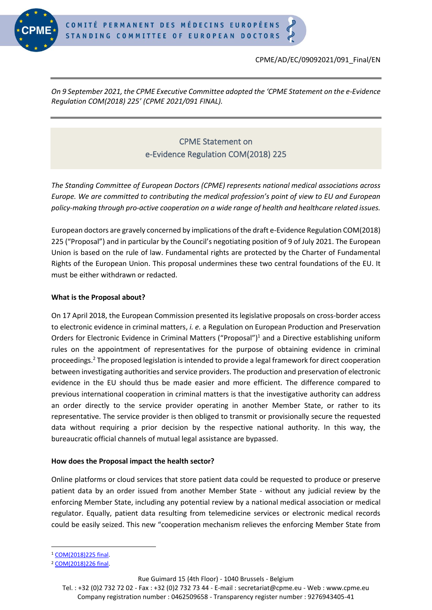

CPME/AD/EC/09092021/091\_Final/EN

*On 9 September 2021, the CPME Executive Committee adopted the 'CPME Statement on the e-Evidence Regulation COM(2018) 225' (CPME 2021/091 FINAL).*

# CPME Statement on e-Evidence Regulation COM(2018) 225

*The Standing Committee of European Doctors (CPME) represents national medical associations across Europe. We are committed to contributing the medical profession's point of view to EU and European policy-making through pro-active cooperation on a wide range of health and healthcare related issues.*

European doctors are gravely concerned by implications of the draft e-Evidence Regulation COM(2018) 225 ("Proposal") and in particular by the Council's negotiating position of 9 of July 2021. The European Union is based on the rule of law. Fundamental rights are protected by the Charter of Fundamental Rights of the European Union. This proposal undermines these two central foundations of the EU. It must be either withdrawn or redacted.

## **What is the Proposal about?**

On 17 April 2018, the European Commission presented its legislative proposals on cross-border access to electronic evidence in criminal matters, *i. e.* a Regulation on European Production and Preservation Orders for Electronic Evidence in Criminal Matters ("Proposal")<sup>1</sup> and a Directive establishing uniform rules on the appointment of representatives for the purpose of obtaining evidence in criminal proceedings.<sup>2</sup> The proposed legislation is intended to provide a legal framework for direct cooperation between investigating authorities and service providers. The production and preservation of electronic evidence in the EU should thus be made easier and more efficient. The difference compared to previous international cooperation in criminal matters is that the investigative authority can address an order directly to the service provider operating in another Member State, or rather to its representative. The service provider is then obliged to transmit or provisionally secure the requested data without requiring a prior decision by the respective national authority. In this way, the bureaucratic official channels of mutual legal assistance are bypassed.

## **How does the Proposal impact the health sector?**

Online platforms or cloud services that store patient data could be requested to produce or preserve patient data by an order issued from another Member State - without any judicial review by the enforcing Member State, including any potential review by a national medical association or medical regulator. Equally, patient data resulting from telemedicine services or electronic medical records could be easily seized. This new "cooperation mechanism relieves the enforcing Member State from

Rue Guimard 15 (4th Floor) - 1040 Brussels - Belgium

<sup>1</sup> [COM\(2018\)225 final.](https://eur-lex.europa.eu/legal-content/EN/TXT/?uri=COM%3A2018%3A0225%3AFIN)

<sup>2</sup> [COM\(2018\)226 final.](https://eur-lex.europa.eu/legal-content/EN/TXT/?uri=COM%3A2018%3A226%3AFIN)

Tel. : +32 (0)2 732 72 02 - Fax : +32 (0)2 732 73 44 - E-mail : secretariat@cpme.eu - Web : www.cpme.eu Company registration number : 0462509658 - Transparency register number : 9276943405-41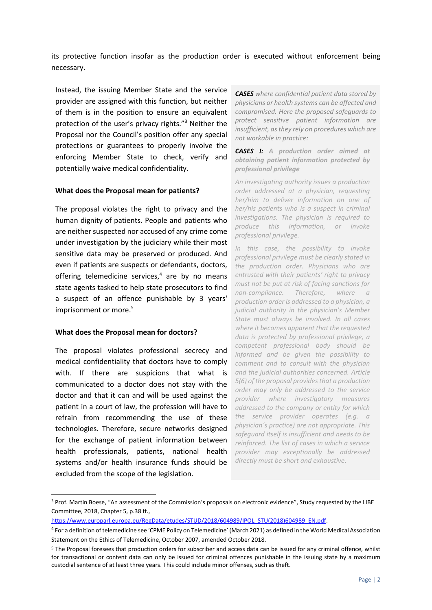its protective function insofar as the production order is executed without enforcement being necessary.

Instead, the issuing Member State and the service provider are assigned with this function, but neither of them is in the position to ensure an equivalent protection of the user's privacy rights."<sup>3</sup> Neither the Proposal nor the Council's position offer any special protections or guarantees to properly involve the enforcing Member State to check, verify and potentially waive medical confidentiality.

#### **What does the Proposal mean for patients?**

The proposal violates the right to privacy and the human dignity of patients. People and patients who are neither suspected nor accused of any crime come under investigation by the judiciary while their most sensitive data may be preserved or produced. And even if patients are suspects or defendants, doctors, offering telemedicine services, $4$  are by no means state agents tasked to help state prosecutors to find a suspect of an offence punishable by 3 years' imprisonment or more. 5

#### **What does the Proposal mean for doctors?**

The proposal violates professional secrecy and medical confidentiality that doctors have to comply with. If there are suspicions that what is communicated to a doctor does not stay with the doctor and that it can and will be used against the patient in a court of law, the profession will have to refrain from recommending the use of these technologies. Therefore, secure networks designed for the exchange of patient information between health professionals, patients, national health systems and/or health insurance funds should be excluded from the scope of the legislation.

*CASES where confidential patient data stored by physicians or health systems can be affected and compromised. Here the proposed safeguards to protect sensitive patient information are insufficient, as they rely on procedures which are not workable in practice:*

*CASES I: A production order aimed at obtaining patient information protected by professional privilege*

*An investigating authority issues a production order addressed at a physician, requesting her/him to deliver information on one of her/his patients who is a suspect in criminal investigations. The physician is required to produce this information, or invoke professional privilege.*

*In this case, the possibility to invoke professional privilege must be clearly stated in the production order. Physicians who are entrusted with their patients' right to privacy must not be put at risk of facing sanctions for non-compliance.* Therefore, where *production order is addressed to a physician, a judicial authority in the physician's Member State must always be involved. In all cases where it becomes apparent that the requested data is protected by professional privilege, a competent professional body should be informed and be given the possibility to comment and to consult with the physician and the judicial authorities concerned. Article 5(6) of the proposal provides that a production order may only be addressed to the service provider where investigatory measures addressed to the company or entity for which the service provider operates (e.g. a physician´s practice) are not appropriate. This safeguard itself is insufficient and needs to be reinforced. The list of cases in which a service provider may exceptionally be addressed directly must be short and exhaustive.*

<sup>3</sup> Prof. Martin Boese, "An assessment of the Commission's proposals on electronic evidence", Study requested by the LIBE Committee, 2018, Chapter 5, p.38 ff.,

[https://www.europarl.europa.eu/RegData/etudes/STUD/2018/604989/IPOL\\_STU\(2018\)604989\\_EN.pdf.](https://www.europarl.europa.eu/RegData/etudes/STUD/2018/604989/IPOL_STU(2018)604989_EN.pdf)

<sup>4</sup> For a definition of telemedicine see 'CPME Policy on Telemedicine' (March 2021) as defined in the World Medical Association Statement on the Ethics of Telemedicine, October 2007, amended October 2018.

<sup>5</sup> The Proposal foresees that production orders for subscriber and access data can be issued for any criminal offence, whilst for transactional or content data can only be issued for criminal offences punishable in the issuing state by a maximum custodial sentence of at least three years. This could include minor offenses, such as theft.